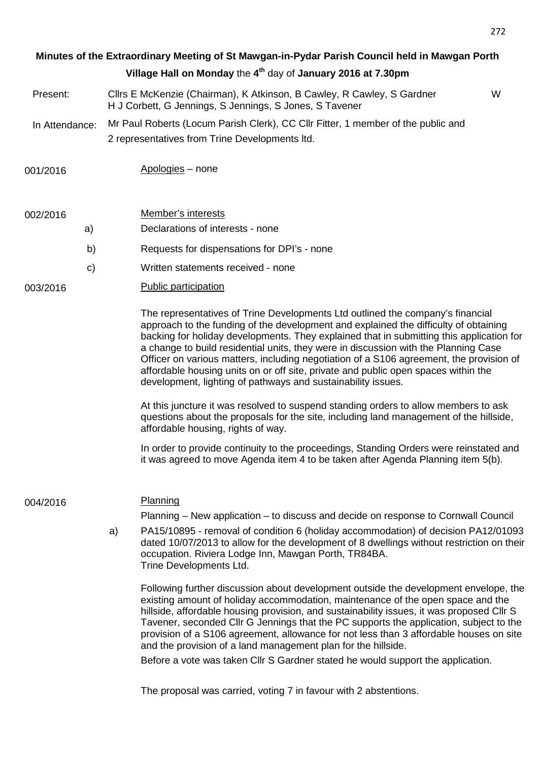## **Village Hall on Monday** the **4 th** day of **January 2016 at 7.30pm Minutes of the Extraordinary Meeting of St Mawgan-in-Pydar Parish Council held in Mawgan Porth**

- Present: Cllrs E McKenzie (Chairman), K Atkinson, B Cawley, R Cawley, S Gardner W H J Corbett, G Jennings, S Jennings, S Jones, S Tavener
- In Attendance: Mr Paul Roberts (Locum Parish Clerk), CC Cllr Fitter, 1 member of the public and 2 representatives from Trine Developments ltd.

001/2016 Apologies – none

| 002/2016 | Member's interests |
|----------|--------------------|
|----------|--------------------|

- a) Declarations of interests none
- b) Requests for dispensations for DPI's none
- c) Written statements received none
- 003/2016 Public participation

The representatives of Trine Developments Ltd outlined the company's financial approach to the funding of the development and explained the difficulty of obtaining backing for holiday developments. They explained that in submitting this application for a change to build residential units, they were in discussion with the Planning Case Officer on various matters, including negotiation of a S106 agreement, the provision of affordable housing units on or off site, private and public open spaces within the development, lighting of pathways and sustainability issues.

At this juncture it was resolved to suspend standing orders to allow members to ask questions about the proposals for the site, including land management of the hillside, affordable housing, rights of way.

 In order to provide continuity to the proceedings, Standing Orders were reinstated and it was agreed to move Agenda item 4 to be taken after Agenda Planning item 5(b).

004/2016 Planning

Planning – New application – to discuss and decide on response to Cornwall Council

 a) PA15/10895 - removal of condition 6 (holiday accommodation) of decision PA12/01093 dated 10/07/2013 to allow for the development of 8 dwellings without restriction on their occupation. Riviera Lodge Inn, Mawgan Porth, TR84BA. Trine Developments Ltd.

Following further discussion about development outside the development envelope, the existing amount of holiday accommodation, maintenance of the open space and the hillside, affordable housing provision, and sustainability issues, it was proposed Cllr S Tavener, seconded Cllr G Jennings that the PC supports the application, subject to the provision of a S106 agreement, allowance for not less than 3 affordable houses on site and the provision of a land management plan for the hillside.

Before a vote was taken Cllr S Gardner stated he would support the application.

The proposal was carried, voting 7 in favour with 2 abstentions.